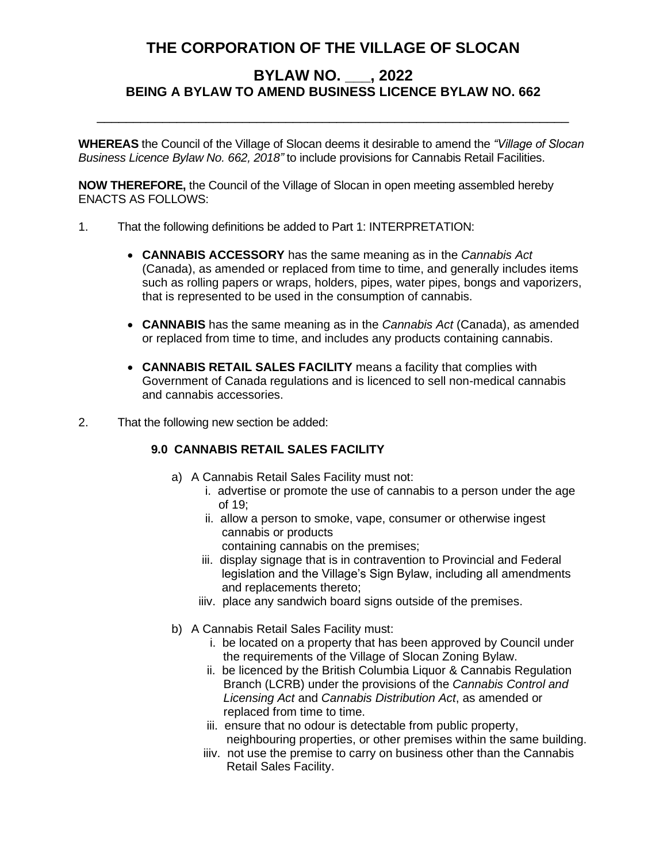## **THE CORPORATION OF THE VILLAGE OF SLOCAN**

## **BYLAW NO. \_\_\_, 2022 BEING A BYLAW TO AMEND BUSINESS LICENCE BYLAW NO. 662**

**WHEREAS** the Council of the Village of Slocan deems it desirable to amend the *"Village of Slocan Business Licence Bylaw No. 662, 2018"* to include provisions for Cannabis Retail Facilities.

\_\_\_\_\_\_\_\_\_\_\_\_\_\_\_\_\_\_\_\_\_\_\_\_\_\_\_\_\_\_\_\_\_\_\_\_\_\_\_\_\_\_\_\_\_\_\_\_\_\_\_\_\_\_\_\_\_\_\_\_\_\_\_\_\_

**NOW THEREFORE,** the Council of the Village of Slocan in open meeting assembled hereby ENACTS AS FOLLOWS:

- 1. That the following definitions be added to Part 1: INTERPRETATION:
	- **CANNABIS ACCESSORY** has the same meaning as in the *Cannabis Act*  (Canada), as amended or replaced from time to time, and generally includes items such as rolling papers or wraps, holders, pipes, water pipes, bongs and vaporizers, that is represented to be used in the consumption of cannabis.
	- **CANNABIS** has the same meaning as in the *Cannabis Act* (Canada), as amended or replaced from time to time, and includes any products containing cannabis.
	- **CANNABIS RETAIL SALES FACILITY** means a facility that complies with Government of Canada regulations and is licenced to sell non-medical cannabis and cannabis accessories.
- 2. That the following new section be added:

## **9.0 CANNABIS RETAIL SALES FACILITY**

- a) A Cannabis Retail Sales Facility must not:
	- i. advertise or promote the use of cannabis to a person under the age of 19;
	- ii. allow a person to smoke, vape, consumer or otherwise ingest cannabis or products
		- containing cannabis on the premises;
	- iii. display signage that is in contravention to Provincial and Federal legislation and the Village's Sign Bylaw, including all amendments and replacements thereto;
	- iiiv. place any sandwich board signs outside of the premises.
- b) A Cannabis Retail Sales Facility must:
	- i. be located on a property that has been approved by Council under the requirements of the Village of Slocan Zoning Bylaw.
	- ii. be licenced by the British Columbia Liquor & Cannabis Regulation Branch (LCRB) under the provisions of the *Cannabis Control and Licensing Act* and *Cannabis Distribution Act*, as amended or replaced from time to time.
	- iii. ensure that no odour is detectable from public property, neighbouring properties, or other premises within the same building.
	- iiiv. not use the premise to carry on business other than the Cannabis Retail Sales Facility.